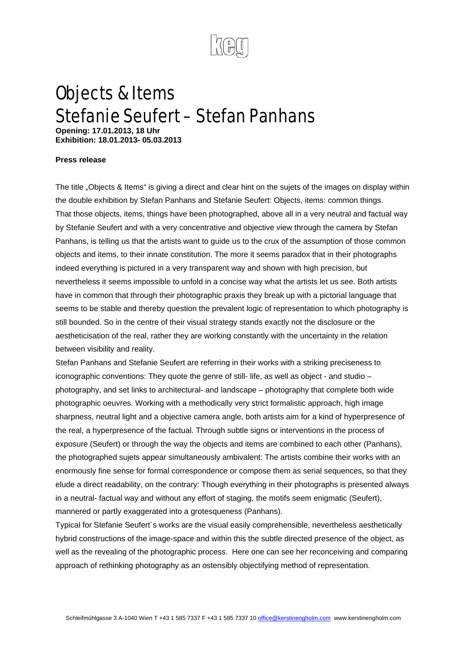

## Objects & Items Stefanie Seufert – Stefan Panhans

**Opening: 17.01.2013, 18 Uhr Exhibition: 18.01.2013- 05.03.2013** 

## **Press release**

The title "Objects & Items" is giving a direct and clear hint on the sujets of the images on display within the double exhibition by Stefan Panhans and Stefanie Seufert: Objects, items: common things. That those objects, items, things have been photographed, above all in a very neutral and factual way by Stefanie Seufert and with a very concentrative and objective view through the camera by Stefan Panhans, is telling us that the artists want to guide us to the crux of the assumption of those common objects and items, to their innate constitution. The more it seems paradox that in their photographs indeed everything is pictured in a very transparent way and shown with high precision, but nevertheless it seems impossible to unfold in a concise way what the artists let us see. Both artists have in common that through their photographic praxis they break up with a pictorial language that seems to be stable and thereby question the prevalent logic of representation to which photography is still bounded. So in the centre of their visual strategy stands exactly not the disclosure or the aestheticisation of the real, rather they are working constantly with the uncertainty in the relation between visibility and reality.

Stefan Panhans and Stefanie Seufert are referring in their works with a striking preciseness to iconographic conventions: They quote the genre of still- life, as well as object - and studio – photography, and set links to architectural- and landscape – photography that complete both wide photographic oeuvres. Working with a methodically very strict formalistic approach, high image sharpness, neutral light and a objective camera angle, both artists aim for a kind of hyperpresence of the real, a hyperpresence of the factual. Through subtle signs or interventions in the process of exposure (Seufert) or through the way the objects and items are combined to each other (Panhans), the photographed sujets appear simultaneously ambivalent: The artists combine their works with an enormously fine sense for formal correspondence or compose them as serial sequences, so that they elude a direct readability, on the contrary: Though everything in their photographs is presented always in a neutral- factual way and without any effort of staging, the motifs seem enigmatic (Seufert), mannered or partly exaggerated into a grotesqueness (Panhans).

Typical for Stefanie Seufert´s works are the visual easily comprehensible, nevertheless aesthetically hybrid constructions of the image-space and within this the subtle directed presence of the object, as well as the revealing of the photographic process. Here one can see her reconceiving and comparing approach of rethinking photography as an ostensibly objectifying method of representation.